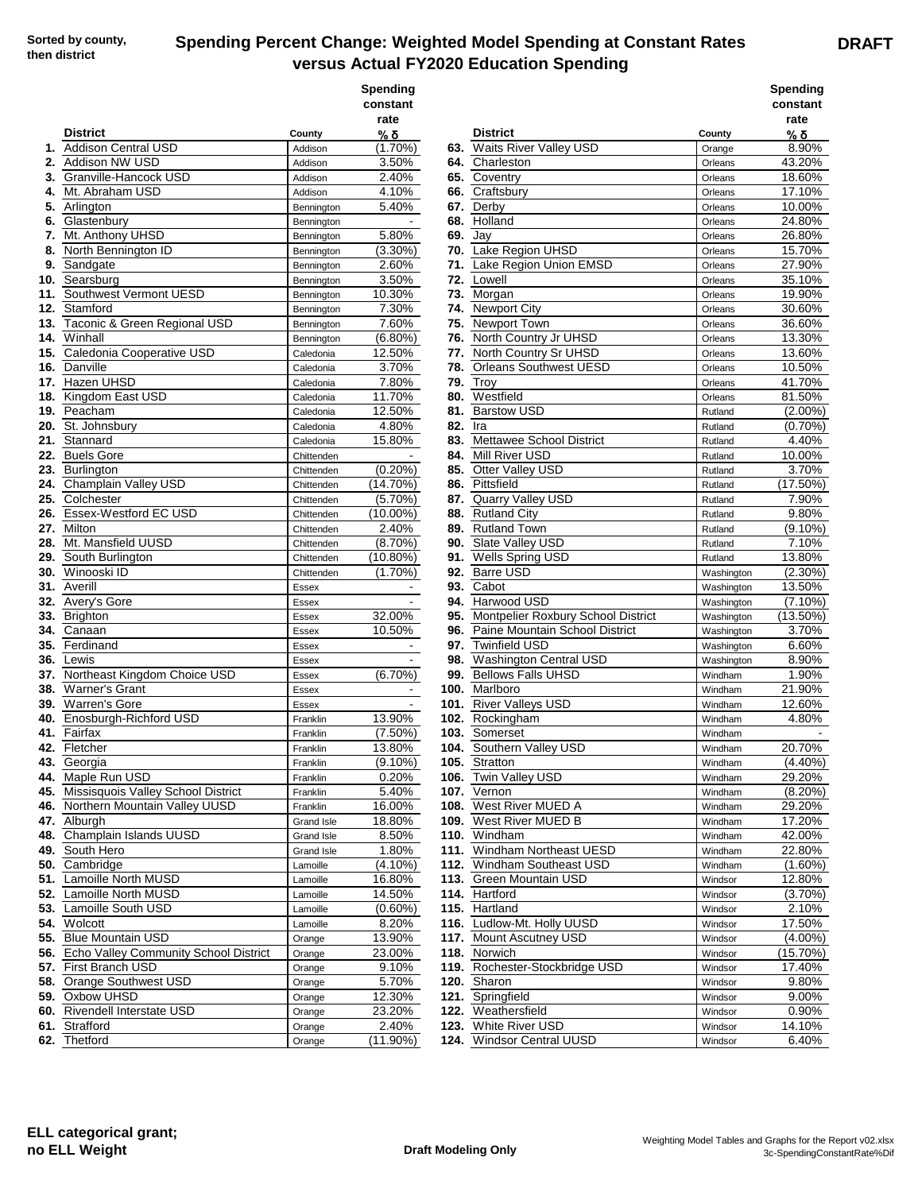## **Spending Percent Change: Weighted Model Spending at Constant Rates versus Actual FY2020 Education Spending**

|                                           |                          | Spending<br>constant<br>rate |                                        |                       | Spending<br>constant<br>rate |
|-------------------------------------------|--------------------------|------------------------------|----------------------------------------|-----------------------|------------------------------|
| <b>District</b>                           | County                   | % δ                          | <b>District</b>                        | County                | % δ                          |
| 1. Addison Central USD                    | Addison                  | $(1.70\%)$                   | 63. Waits River Valley USD             | Orange                | 8.90%                        |
| 2. Addison NW USD                         | Addison                  | 3.50%                        | 64. Charleston                         | Orleans               | 43.20%                       |
| 3. Granville-Hancock USD                  | Addison                  | 2.40%                        | 65. Coventry                           | Orleans               | 18.60%                       |
| 4. Mt. Abraham USD                        | Addison                  | 4.10%                        | 66. Craftsbury                         | Orleans               | 17.10%                       |
| 5. Arlington                              | Bennington               | 5.40%                        | 67. Derby                              | Orleans               | 10.00%                       |
| 6. Glastenbury                            | Bennington               |                              | 68. Holland                            | Orleans               | 24.80%                       |
| 7. Mt. Anthony UHSD                       | Bennington               | 5.80%                        | 69. Jay                                | Orleans               | 26.80%                       |
| 8. North Bennington ID                    | Bennington               | $(3.30\%)$                   | 70. Lake Region UHSD                   | Orleans               | 15.70%                       |
| 9. Sandgate                               | Bennington               | 2.60%                        | 71. Lake Region Union EMSD             | Orleans               | 27.90%                       |
| 10. Searsburg                             | Bennington               | 3.50%                        | 72. Lowell                             | Orleans               | 35.10%                       |
| 11. Southwest Vermont UESD                | Bennington               | 10.30%                       | 73. Morgan                             | Orleans               | 19.90%                       |
| 12. Stamford                              | Bennington               | 7.30%                        | 74. Newport City                       | Orleans               | 30.60%                       |
| 13. Taconic & Green Regional USD          | Bennington               | 7.60%                        | 75. Newport Town                       | Orleans               | 36.60%                       |
| 14. Winhall                               | Bennington               | $(6.80\%)$                   | 76. North Country Jr UHSD              | Orleans               | 13.30%                       |
| 15. Caledonia Cooperative USD             | Caledonia                | 12.50%                       | 77. North Country Sr UHSD              | Orleans               | 13.60%                       |
| 16. Danville                              | Caledonia                | 3.70%                        | 78. Orleans Southwest UESD             | Orleans               | 10.50%                       |
| 17. Hazen UHSD                            | Caledonia                | 7.80%                        | <b>79. Troy</b>                        | Orleans               | 41.70%                       |
| 18. Kingdom East USD                      | Caledonia                | 11.70%                       | 80. Westfield                          | Orleans               | 81.50%                       |
| 19. Peacham                               | Caledonia                | 12.50%                       | 81. Barstow USD                        | Rutland               | $(2.00\%)$                   |
| 20. St. Johnsbury                         | Caledonia                | 4.80%                        | 82. Ira                                | Rutland               | $(0.70\%)$                   |
| 21. Stannard                              | Caledonia                | 15.80%                       | 83. Mettawee School District           | Rutland               | 4.40%                        |
| 22. Buels Gore                            | Chittenden               |                              | 84. Mill River USD                     | Rutland               | 10.00%                       |
| 23. Burlington                            | Chittenden               | $(0.20\%)$                   | 85. Otter Valley USD                   | Rutland               | 3.70%                        |
| 24. Champlain Valley USD                  | Chittenden               | (14.70%)                     | 86. Pittsfield                         | Rutland               | (17.50%)                     |
| 25. Colchester                            | Chittenden               | $(5.70\%)$                   | 87. Quarry Valley USD                  | Rutland               | 7.90%                        |
| 26. Essex-Westford EC USD<br>27. Milton   | Chittenden               | (10.00%)                     | 88. Rutland City<br>89. Rutland Town   | Rutland               | 9.80%                        |
| 28. Mt. Mansfield UUSD                    | Chittenden               | 2.40%<br>$(8.70\%)$          | 90. Slate Valley USD                   | Rutland               | $(9.10\%)$<br>7.10%          |
| 29. South Burlington                      | Chittenden<br>Chittenden | $(10.80\%)$                  | 91. Wells Spring USD                   | Rutland               | 13.80%                       |
| 30. Winooski ID                           | Chittenden               | $(1.70\%)$                   | 92. Barre USD                          | Rutland<br>Washington | $(2.30\%)$                   |
| 31. Averill                               | Essex                    |                              | 93. Cabot                              | Washington            | 13.50%                       |
| 32. Avery's Gore                          | Essex                    |                              | 94. Harwood USD                        | Washington            | $(7.10\%)$                   |
| 33. Brighton                              | <b>Essex</b>             | 32.00%                       | 95. Montpelier Roxbury School District | Washington            | $(13.50\%)$                  |
| <b>34.</b> Canaan                         | Essex                    | 10.50%                       | 96. Paine Mountain School District     | Washington            | 3.70%                        |
| 35. Ferdinand                             | Essex                    |                              | 97. Twinfield USD                      | Washington            | 6.60%                        |
| 36. Lewis                                 | Essex                    |                              | 98. Washington Central USD             | Washington            | 8.90%                        |
| 37. Northeast Kingdom Choice USD          | Essex                    | $(6.70\%)$                   | 99. Bellows Falls UHSD                 | Windham               | 1.90%                        |
| 38. Warner's Grant                        | Essex                    | $\blacksquare$               | 100. Marlboro                          | Windham               | 21.90%                       |
| 39. Warren's Gore                         | Essex                    |                              | 101. River Valleys USD                 | Windham               | 12.60%                       |
| 40. Enosburgh-Richford USD                | Franklin                 | 13.90%                       | 102. Rockingham                        | Windham               | 4.80%                        |
| 41. Fairfax                               | Franklin                 | $(7.50\%)$                   | 103. Somerset                          | Windham               | $\sim$                       |
| 42. Fletcher                              | Franklin                 | 13.80%                       | 104. Southern Valley USD               | Windham               | 20.70%                       |
| 43. Georgia                               | Franklin                 | $(9.10\%)$                   | 105. Stratton                          | Windham               | $(4.40\%)$                   |
| 44. Maple Run USD                         | Franklin                 | 0.20%                        | 106. Twin Valley USD                   | Windham               | 29.20%                       |
| 45. Missisquois Valley School District    | Franklin                 | 5.40%                        | 107. Vernon                            | Windham               | $(8.20\%)$                   |
| 46. Northern Mountain Valley UUSD         | Franklin                 | 16.00%                       | 108. West River MUED A                 | Windham               | 29.20%                       |
| 47. Alburgh                               | Grand Isle               | 18.80%                       | 109. West River MUED B                 | Windham               | 17.20%                       |
| 48. Champlain Islands UUSD                | Grand Isle               | 8.50%                        | 110. Windham                           | Windham               | 42.00%                       |
| 49. South Hero                            | Grand Isle               | 1.80%                        | 111. Windham Northeast UESD            | Windham               | 22.80%                       |
| 50. Cambridge                             | Lamoille                 | $(4.10\%)$                   | 112. Windham Southeast USD             | Windham               | $(1.60\%)$                   |
| 51. Lamoille North MUSD                   | Lamoille                 | 16.80%                       | 113. Green Mountain USD                | Windsor               | 12.80%                       |
| 52. Lamoille North MUSD                   | Lamoille                 | 14.50%                       | 114. Hartford                          | Windsor               | $(3.70\%)$                   |
| 53. Lamoille South USD                    | Lamoille                 | $(0.60\%)$                   | 115. Hartland                          | Windsor               | 2.10%                        |
| 54. Wolcott                               | Lamoille                 | 8.20%                        | 116. Ludlow-Mt. Holly UUSD             | Windsor               | 17.50%                       |
| 55. Blue Mountain USD                     | Orange                   | 13.90%                       | 117. Mount Ascutney USD                | Windsor               | $(4.00\%)$                   |
| 56. Echo Valley Community School District | Orange                   | 23.00%                       | 118. Norwich                           | Windsor               | (15.70%)                     |
| 57. First Branch USD                      | Orange                   | 9.10%                        | 119. Rochester-Stockbridge USD         | Windsor               | 17.40%                       |
| 58. Orange Southwest USD                  | Orange                   | 5.70%                        | 120. Sharon                            | Windsor               | 9.80%                        |
| 59. Oxbow UHSD                            | Orange                   | 12.30%                       | 121. Springfield                       | Windsor               | $9.00\%$                     |
| 60. Rivendell Interstate USD              | Orange                   | 23.20%                       | 122. Weathersfield                     | Windsor               | 0.90%                        |
| 61. Strafford                             | Orange                   | 2.40%                        | 123. White River USD                   | Windsor               | 14.10%                       |
| 62. Thetford                              | Orange                   | $(11.90\%)$                  | 124. Windsor Central UUSD              | Windsor               | 6.40%                        |

| rate                         |      |                                                      |                    | rate             |
|------------------------------|------|------------------------------------------------------|--------------------|------------------|
| % δ                          |      | <b>District</b>                                      | County             | % δ              |
| $(1.70\%)$                   |      | 63. Waits River Valley USD                           | Orange             | 8.90%            |
| 3.50%                        |      | 64. Charleston                                       | Orleans            | 43.20%           |
| 2.40%                        |      | 65. Coventry                                         | Orleans            | 18.60%           |
| 4.10%                        |      | 66. Craftsbury                                       | Orleans            | 17.10%           |
| 5.40%                        |      | 67. Derby                                            | Orleans            | 10.00%           |
| $\overline{\phantom{a}}$     |      | 68. Holland                                          | Orleans            | 24.80%           |
| 5.80%                        |      | 69. Jay                                              | Orleans            | 26.80%           |
| $(3.30\%)$                   |      | 70. Lake Region UHSD                                 | Orleans            | 15.70%           |
| 2.60%                        |      | 71. Lake Region Union EMSD                           | Orleans            | 27.90%           |
| 3.50%                        |      | $72.$ Lowell                                         | Orleans            | 35.10%           |
| 0.30%                        |      | 73. Morgan                                           | Orleans            | 19.90%           |
| 7.30%                        |      | 74. Newport City                                     | Orleans            | 30.60%           |
| 7.60%                        |      | 75. Newport Town                                     | Orleans            | 36.60%           |
| $(6.80\%)$                   |      | 76. North Country Jr UHSD                            | Orleans            | 13.30%           |
| 2.50%                        |      | 77. North Country Sr UHSD                            | Orleans            | 13.60%           |
| 3.70%                        |      | 78. Orleans Southwest UESD                           | Orleans            | 10.50%           |
| 7.80%                        |      | <b>79. Troy</b>                                      | Orleans            | 41.70%           |
| 1.70%                        |      | 80. Westfield                                        | Orleans            | 81.50%           |
| 2.50%                        |      | 81. Barstow USD                                      | Rutland            | $(2.00\%)$       |
| 4.80%                        |      | 82. Ira                                              | Rutland            | $(0.70\%)$       |
| 5.80%                        |      | 83. Mettawee School District                         | Rutland            | 4.40%            |
| $\qquad \qquad \blacksquare$ |      | 84. Mill River USD                                   | Rutland            | 10.00%           |
| $(0.20\%)$                   |      | 85. Otter Valley USD                                 | Rutland            | 3.70%            |
| 4.70%)                       |      | 86. Pittsfield                                       | Rutland            | (17.50%)         |
| $(5.70\%)$                   |      | 87. Quarry Valley USD                                | Rutland            | 7.90%            |
| $0.00\%$                     | 88.  | <b>Rutland City</b>                                  | Rutland            | 9.80%            |
| 2.40%                        |      | 89. Rutland Town                                     | Rutland            | (9.10%)          |
| (8.70%)                      |      | 90. Slate Valley USD                                 | Rutland            | 7.10%            |
| $0.80\%$                     |      | 91. Wells Spring USD                                 | Rutland            | 13.80%           |
| $(1.70\%)$                   |      | 92. Barre USD                                        | Washington         | $(2.30\%)$       |
|                              |      | 93. Cabot                                            | Washington         | 13.50%           |
| $\overline{\phantom{a}}$     |      | 94. Harwood USD                                      | Washington         | $(7.10\%)$       |
| 2.00%                        |      | 95. Montpelier Roxbury School District               | Washington         | (13.50%)         |
| 0.50%                        |      | 96. Paine Mountain School District                   | Washington         | 3.70%            |
| $\overline{\phantom{a}}$     |      | 97. Twinfield USD                                    | Washington         | 6.60%            |
| $\overline{\phantom{a}}$     |      | 98. Washington Central USD<br>99. Bellows Falls UHSD | Washington         | 8.90%            |
| $(6.70\%)$                   |      | 100. Marlboro                                        | Windham            | 1.90%            |
| $\blacksquare$               |      | 101. River Valleys USD                               | Windham            | 21.90%<br>12.60% |
| 3.90%                        |      | 102. Rockingham                                      | Windham            | 4.80%            |
| (7.50%)                      |      | 103. Somerset                                        | Windham<br>Windham |                  |
| 3.80%                        |      | 104. Southern Valley USD                             | Windham            | 20.70%           |
| $(9.10\%)$                   |      | 105. Stratton                                        | Windham            | $(4.40\%)$       |
| 0.20%                        |      | 106. Twin Valley USD                                 | Windham            | 29.20%           |
| 5.40%                        |      | 107. Vernon                                          | Windham            | $(8.20\%)$       |
| 6.00%                        |      | 108. West River MUED A                               | Windham            | 29.20%           |
| 8.80%                        |      | 109. West River MUED B                               | Windham            | 17.20%           |
| 8.50%                        |      | 110. Windham                                         | Windham            | 42.00%           |
| 1.80%                        | 111. | Windham Northeast UESD                               | Windham            | 22.80%           |
| (4.10%)                      |      | 112. Windham Southeast USD                           | Windham            | $(1.60\%)$       |
| 6.80%                        |      | 113. Green Mountain USD                              | Windsor            | 12.80%           |
| 4.50%                        |      | 114. Hartford                                        | Windsor            | $(3.70\%)$       |
| (0.60%)                      | 115. | Hartland                                             | Windsor            | 2.10%            |
| 8.20%                        | 116. | Ludlow-Mt. Holly UUSD                                | Windsor            | 17.50%           |
| 3.90%                        | 117. | <b>Mount Ascutney USD</b>                            | Windsor            | (4.00%)          |
| :3.00%                       | 118. | Norwich                                              | Windsor            | (15.70%)         |
| 9.10%                        |      | 119. Rochester-Stockbridge USD                       | Windsor            | 17.40%           |
| 5.70%                        |      | <b>120.</b> Sharon                                   | Windsor            | 9.80%            |
| 2.30%                        |      | 121. Springfield                                     | Windsor            | 9.00%            |
| :3.20%                       |      | 122. Weathersfield                                   | Windsor            | $0.90\%$         |
| 2.40%                        |      | 123. White River USD                                 | Windsor            | 14.10%           |
| 1.90%)                       |      | 124. Windsor Central UUSD                            | Windsor            | 6.40%            |
|                              |      |                                                      |                    |                  |